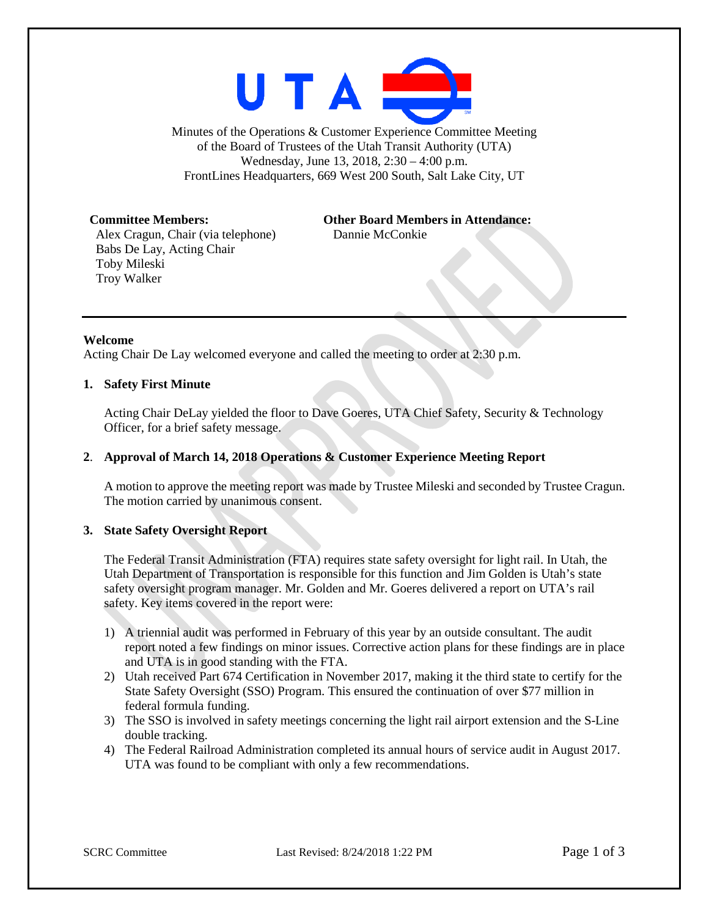

Minutes of the Operations & Customer Experience Committee Meeting of the Board of Trustees of the Utah Transit Authority (UTA) Wednesday, June 13, 2018, 2:30 – 4:00 p.m. FrontLines Headquarters, 669 West 200 South, Salt Lake City, UT

Alex Cragun, Chair (via telephone) Dannie McConkie Babs De Lay, Acting Chair Toby Mileski Troy Walker

# **Committee Members: Other Board Members in Attendance:**

#### **Welcome**

Acting Chair De Lay welcomed everyone and called the meeting to order at 2:30 p.m.

#### **1. Safety First Minute**

Acting Chair DeLay yielded the floor to Dave Goeres, UTA Chief Safety, Security & Technology Officer, for a brief safety message.

### **2**. **Approval of March 14, 2018 Operations & Customer Experience Meeting Report**

A motion to approve the meeting report was made by Trustee Mileski and seconded by Trustee Cragun. The motion carried by unanimous consent.

## **3. State Safety Oversight Report**

The Federal Transit Administration (FTA) requires state safety oversight for light rail. In Utah, the Utah Department of Transportation is responsible for this function and Jim Golden is Utah's state safety oversight program manager. Mr. Golden and Mr. Goeres delivered a report on UTA's rail safety. Key items covered in the report were:

- 1) A triennial audit was performed in February of this year by an outside consultant. The audit report noted a few findings on minor issues. Corrective action plans for these findings are in place and UTA is in good standing with the FTA.
- 2) Utah received Part 674 Certification in November 2017, making it the third state to certify for the State Safety Oversight (SSO) Program. This ensured the continuation of over \$77 million in federal formula funding.
- 3) The SSO is involved in safety meetings concerning the light rail airport extension and the S-Line double tracking.
- 4) The Federal Railroad Administration completed its annual hours of service audit in August 2017. UTA was found to be compliant with only a few recommendations.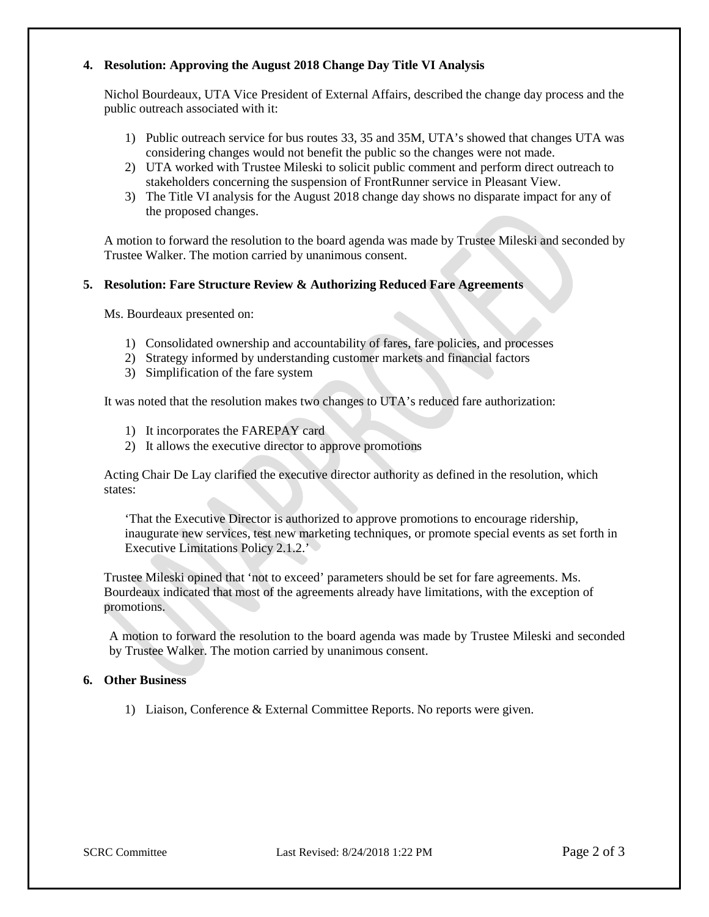## **4. Resolution: Approving the August 2018 Change Day Title VI Analysis**

Nichol Bourdeaux, UTA Vice President of External Affairs, described the change day process and the public outreach associated with it:

- 1) Public outreach service for bus routes 33, 35 and 35M, UTA's showed that changes UTA was considering changes would not benefit the public so the changes were not made.
- 2) UTA worked with Trustee Mileski to solicit public comment and perform direct outreach to stakeholders concerning the suspension of FrontRunner service in Pleasant View.
- 3) The Title VI analysis for the August 2018 change day shows no disparate impact for any of the proposed changes.

A motion to forward the resolution to the board agenda was made by Trustee Mileski and seconded by Trustee Walker. The motion carried by unanimous consent.

## **5. Resolution: Fare Structure Review & Authorizing Reduced Fare Agreements**

Ms. Bourdeaux presented on:

- 1) Consolidated ownership and accountability of fares, fare policies, and processes
- 2) Strategy informed by understanding customer markets and financial factors
- 3) Simplification of the fare system

It was noted that the resolution makes two changes to UTA's reduced fare authorization:

- 1) It incorporates the FAREPAY card
- 2) It allows the executive director to approve promotions

Acting Chair De Lay clarified the executive director authority as defined in the resolution, which states:

'That the Executive Director is authorized to approve promotions to encourage ridership, inaugurate new services, test new marketing techniques, or promote special events as set forth in Executive Limitations Policy 2.1.2.'

Trustee Mileski opined that 'not to exceed' parameters should be set for fare agreements. Ms. Bourdeaux indicated that most of the agreements already have limitations, with the exception of promotions.

A motion to forward the resolution to the board agenda was made by Trustee Mileski and seconded by Trustee Walker. The motion carried by unanimous consent.

#### **6. Other Business**

1) Liaison, Conference & External Committee Reports. No reports were given.